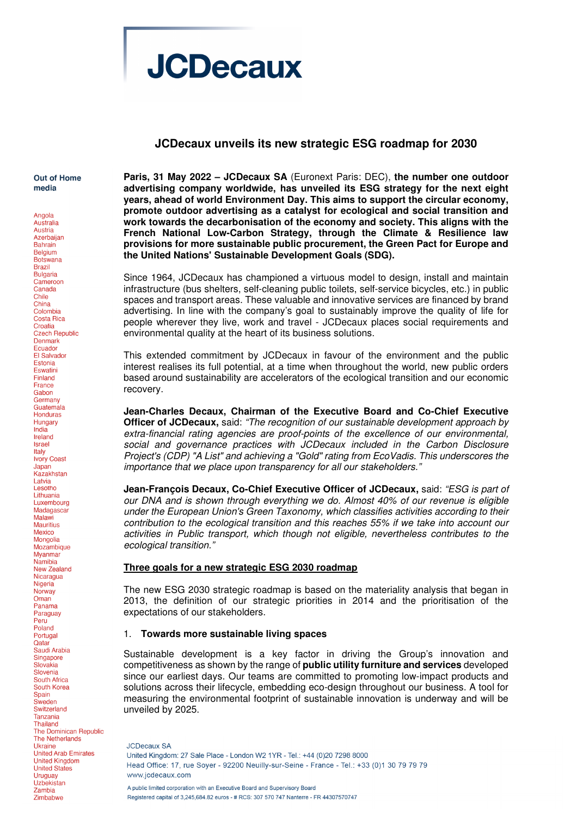# **JCDecaux**

## **JCDecaux unveils its new strategic ESG roadmap for 2030**

Out of Home media

Angola

Australia Austria Azerbaijan **Bahrain** Belgium **Botswana Brazil Bulgaria** Cameroon Canada Chile China Colombia Costa Rica Croatia<br>Croatia<br>Czech Republic Denmark Ecuador El Salvador Estonia Eswatini Finland France Gabon **Germany** Guatemala **Honduras** Hungary India Ireland **Israel** Italy **Ivory Coast** Japan. Kazakhstan Latvia<br>Lesotho Lithuania Luxembourg Madagascar Malawi Mauritius Mexico Mongolia Mozambique Myanmar Namihia **New Zealand** Nicaragua Nigeria Norway Oman Panama Paraguay Peru Poland Portugal Qatar Saudi Arabia Singapore Slovakia Slovenia South Africa South Korea Spain Sweden Switzerland Tanzania **Thailand** The Dominican Republic The Netherlands Ukraine **United Arab Emirates United Kingdom** United States **Uruguay** Uzbekistan Zambia Zimbabwe

**Paris, 31 May 2022 – JCDecaux SA** (Euronext Paris: DEC), **the number one outdoor advertising company worldwide, has unveiled its ESG strategy for the next eight years, ahead of world Environment Day. This aims to support the circular economy, promote outdoor advertising as a catalyst for ecological and social transition and work towards the decarbonisation of the economy and society. This aligns with the French National Low-Carbon Strategy, through the Climate & Resilience law provisions for more sustainable public procurement, the Green Pact for Europe and the United Nations' Sustainable Development Goals (SDG).**

Since 1964, JCDecaux has championed a virtuous model to design, install and maintain infrastructure (bus shelters, self-cleaning public toilets, self-service bicycles, etc.) in public spaces and transport areas. These valuable and innovative services are financed by brand advertising. In line with the company's goal to sustainably improve the quality of life for people wherever they live, work and travel - JCDecaux places social requirements and environmental quality at the heart of its business solutions.

This extended commitment by JCDecaux in favour of the environment and the public interest realises its full potential, at a time when throughout the world, new public orders based around sustainability are accelerators of the ecological transition and our economic recovery.

**Jean-Charles Decaux, Chairman of the Executive Board and Co-Chief Executive Officer of JCDecaux,** said: "The recognition of our sustainable development approach by extra-financial rating agencies are proof-points of the excellence of our environmental, social and governance practices with JCDecaux included in the Carbon Disclosure Project's (CDP) "A List" and achieving a "Gold" rating from EcoVadis. This underscores the importance that we place upon transparency for all our stakeholders."

**Jean-François Decaux, Co-Chief Executive Officer of JCDecaux,** said: "ESG is part of our DNA and is shown through everything we do. Almost 40% of our revenue is eligible under the European Union's Green Taxonomy, which classifies activities according to their contribution to the ecological transition and this reaches 55% if we take into account our activities in Public transport, which though not eligible, nevertheless contributes to the ecological transition."

### **Three goals for a new strategic ESG 2030 roadmap**

The new ESG 2030 strategic roadmap is based on the materiality analysis that began in 2013, the definition of our strategic priorities in 2014 and the prioritisation of the expectations of our stakeholders.

### 1. **Towards more sustainable living spaces**

Sustainable development is a key factor in driving the Group's innovation and competitiveness as shown by the range of **public utility furniture and services** developed since our earliest days. Our teams are committed to promoting low-impact products and solutions across their lifecycle, embedding eco-design throughout our business. A tool for measuring the environmental footprint of sustainable innovation is underway and will be unveiled by 2025.

**JCDecaux SA** United Kingdom: 27 Sale Place - London W2 1YR - Tel.: +44 (0)20 7298 8000 Head Office: 17, rue Sover - 92200 Neuilly-sur-Seine - France - Tel.: +33 (0)1 30 79 79 79 www.icdecaux.com A public limited corporation with an Executive Board and Supervisory Board Registered capital of 3.245.684.82 euros - # RCS: 307 570 747 Nanterre - FR 44307570747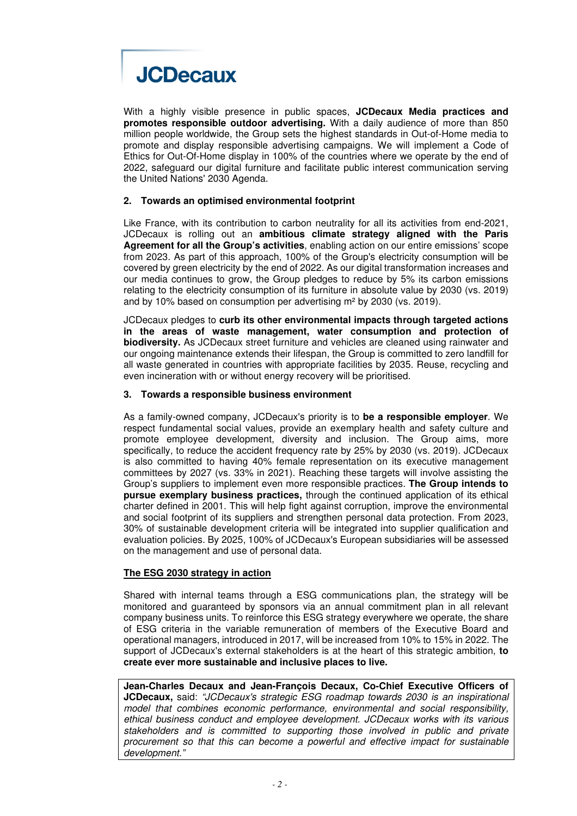

With a highly visible presence in public spaces, **JCDecaux Media practices and promotes responsible outdoor advertising.** With a daily audience of more than 850 million people worldwide, the Group sets the highest standards in Out-of-Home media to promote and display responsible advertising campaigns. We will implement a Code of Ethics for Out-Of-Home display in 100% of the countries where we operate by the end of 2022, safeguard our digital furniture and facilitate public interest communication serving the United Nations' 2030 Agenda.

### **2. Towards an optimised environmental footprint**

Like France, with its contribution to carbon neutrality for all its activities from end-2021, JCDecaux is rolling out an **ambitious climate strategy aligned with the Paris Agreement for all the Group's activities**, enabling action on our entire emissions' scope from 2023. As part of this approach, 100% of the Group's electricity consumption will be covered by green electricity by the end of 2022. As our digital transformation increases and our media continues to grow, the Group pledges to reduce by 5% its carbon emissions relating to the electricity consumption of its furniture in absolute value by 2030 (vs. 2019) and by 10% based on consumption per advertising m² by 2030 (vs. 2019).

JCDecaux pledges to **curb its other environmental impacts through targeted actions in the areas of waste management, water consumption and protection of biodiversity.** As JCDecaux street furniture and vehicles are cleaned using rainwater and our ongoing maintenance extends their lifespan, the Group is committed to zero landfill for all waste generated in countries with appropriate facilities by 2035. Reuse, recycling and even incineration with or without energy recovery will be prioritised.

#### **3. Towards a responsible business environment**

As a family-owned company, JCDecaux's priority is to **be a responsible employer**. We respect fundamental social values, provide an exemplary health and safety culture and promote employee development, diversity and inclusion. The Group aims, more specifically, to reduce the accident frequency rate by 25% by 2030 (vs. 2019). JCDecaux is also committed to having 40% female representation on its executive management committees by 2027 (vs. 33% in 2021). Reaching these targets will involve assisting the Group's suppliers to implement even more responsible practices. **The Group intends to pursue exemplary business practices,** through the continued application of its ethical charter defined in 2001. This will help fight against corruption, improve the environmental and social footprint of its suppliers and strengthen personal data protection. From 2023, 30% of sustainable development criteria will be integrated into supplier qualification and evaluation policies. By 2025, 100% of JCDecaux's European subsidiaries will be assessed on the management and use of personal data.

### **The ESG 2030 strategy in action**

Shared with internal teams through a ESG communications plan, the strategy will be monitored and guaranteed by sponsors via an annual commitment plan in all relevant company business units. To reinforce this ESG strategy everywhere we operate, the share of ESG criteria in the variable remuneration of members of the Executive Board and operational managers, introduced in 2017, will be increased from 10% to 15% in 2022. The support of JCDecaux's external stakeholders is at the heart of this strategic ambition, **to create ever more sustainable and inclusive places to live.**

**Jean-Charles Decaux and Jean-François Decaux, Co-Chief Executive Officers of JCDecaux,** said: "JCDecaux's strategic ESG roadmap towards 2030 is an inspirational model that combines economic performance, environmental and social responsibility, ethical business conduct and employee development. JCDecaux works with its various stakeholders and is committed to supporting those involved in public and private procurement so that this can become a powerful and effective impact for sustainable development."